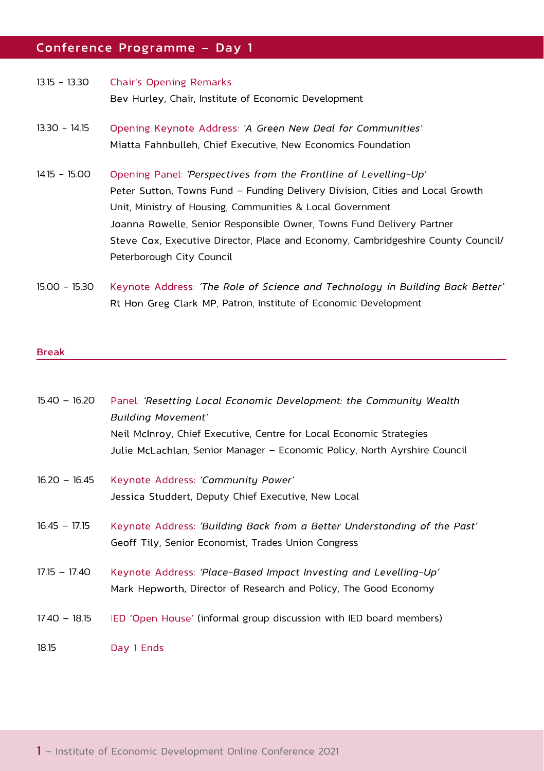## Conference Programme - Day 1

| $13.15 - 13.30$ | Chair's Opening Remarks                              |
|-----------------|------------------------------------------------------|
|                 | Bev Hurley, Chair, Institute of Economic Development |
| $13.30 - 14.15$ | Opening Keynote Address: 'A Green New Deal for Com   |

- Opening Keynote Address: 'A Green New Deal for Communities' 13.30 - 14.15 Miatta Fahnbulleh, Chief Executive, New Economics Foundation
- 14.15 15.00 Opening Panel: 'Perspectives from the Frontline of Levelling-Up' Peter Sutton, Towns Fund – Funding Delivery Division, Cities and Local Growth Unit, Ministry of Housing, Communities & Local Government Joanna Rowelle, Senior Responsible Owner, Towns Fund Delivery Partner Steve Cox, Executive Director, Place and Economy, Cambridgeshire County Council/ Peterborough City Council
- 15.00 15.30 Keynote Address: 'The Role of Science and Technology in Building Back Better' Rt Hon Greg Clark MP, Patron, Institute of Economic Development

## **Break**

| $15.40 - 16.20$ | Panel: 'Resetting Local Economic Development: the Community Wealth        |
|-----------------|---------------------------------------------------------------------------|
|                 | Building Movement'                                                        |
|                 | Neil McInroy, Chief Executive, Centre for Local Economic Strategies       |
|                 | Julie McLachlan, Senior Manager – Economic Policy, North Ayrshire Council |
| $16.20 - 16.45$ | Keynote Address: 'Community Power'                                        |
|                 | Jessica Studdert, Deputy Chief Executive, New Local                       |
| $16.45 - 17.15$ | Keynote Address: 'Building Back from a Better Understanding of the Past'  |
|                 | Geoff Tily, Senior Economist, Trades Union Congress                       |
| $17.15 - 17.40$ | Keynote Address: 'Place-Based Impact Investing and Levelling-Up'          |
|                 | Mark Hepworth, Director of Research and Policy, The Good Economy          |
| $17.40 - 18.15$ | IED 'Open House' (informal group discussion with IED board members)       |
| 18.15           | Day 1 Ends                                                                |

– Institute of Economic Development Online Conference 2021